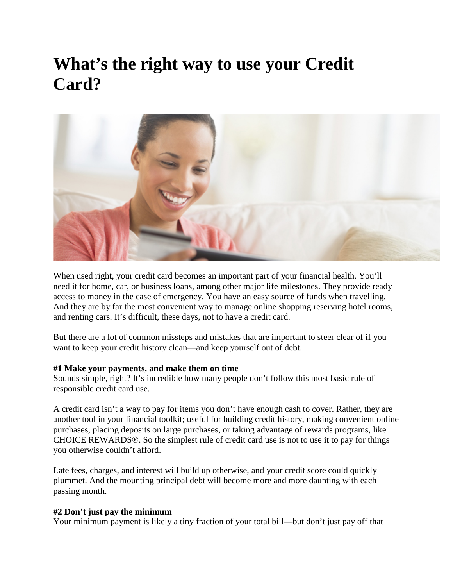# **What's the right way to use your Credit Card?**



When used right, your credit card becomes an important part of your financial health. You'll need it for home, car, or business loans, among other major life milestones. They provide ready access to money in the case of emergency. You have an easy source of funds when travelling. And they are by far the most convenient way to manage online shopping reserving hotel rooms, and renting cars. It's difficult, these days, not to have a credit card.

But there are a lot of common missteps and mistakes that are important to steer clear of if you want to keep your credit history clean—and keep yourself out of debt.

#### **#1 Make your payments, and make them on time**

Sounds simple, right? It's incredible how many people don't follow this most basic rule of responsible credit card use.

A credit card isn't a way to pay for items you don't have enough cash to cover. Rather, they are another tool in your financial toolkit; useful for building credit history, making convenient online purchases, placing deposits on large purchases, or taking advantage of rewards programs, like CHOICE REWARDS®. So the simplest rule of credit card use is not to use it to pay for things you otherwise couldn't afford.

Late fees, charges, and interest will build up otherwise, and your credit score could quickly plummet. And the mounting principal debt will become more and more daunting with each passing month.

#### **#2 Don't just pay the minimum**

Your minimum payment is likely a tiny fraction of your total bill—but don't just pay off that